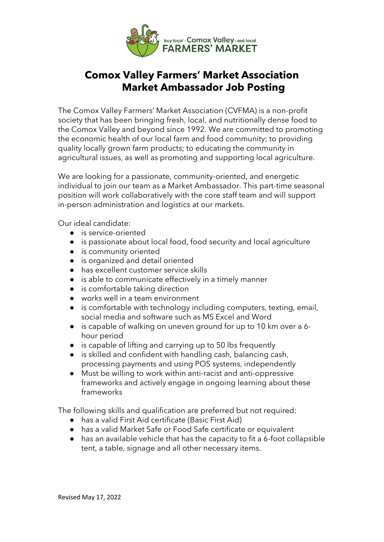

# **Comox Valley Farmers' Market Association Market Ambassador Job Posting**

The Comox Valley Farmers' Market Association (CVFMA) is a non-profit society that has been bringing fresh, local, and nutritionally dense food to the Comox Valley and beyond since 1992. We are committed to promoting the economic health of our local farm and food community; to providing quality locally grown farm products; to educating the community in agricultural issues, as well as promoting and supporting local agriculture.

We are looking for a passionate, community-oriented, and energetic individual to join our team as a Market Ambassador. This part-time seasonal position will work collaboratively with the core staff team and will support in-person administration and logistics at our markets.

Our ideal candidate:

- is service-oriented
- is passionate about local food, food security and local agriculture
- is community oriented
- is organized and detail oriented
- has excellent customer service skills
- is able to communicate effectively in a timely manner
- is comfortable taking direction
- works well in a team environment
- is comfortable with technology including computers, texting, email, social media and software such as MS Excel and Word
- is capable of walking on uneven ground for up to 10 km over a 6hour period
- is capable of lifting and carrying up to 50 lbs frequently
- is skilled and confident with handling cash, balancing cash, processing payments and using POS systems, independently
- Must be willing to work within anti-racist and anti-oppressive frameworks and actively engage in ongoing learning about these frameworks

The following skills and qualification are preferred but not required:

- has a valid First Aid certificate (Basic First Aid)
- has a valid Market Safe or Food Safe certificate or equivalent
- has an available vehicle that has the capacity to fit a 6-foot collapsible tent, a table, signage and all other necessary items.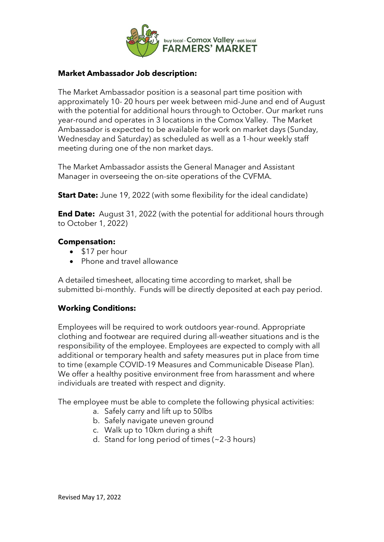

## **Market Ambassador Job description:**

The Market Ambassador position is a seasonal part time position with approximately 10- 20 hours per week between mid-June and end of August with the potential for additional hours through to October. Our market runs year-round and operates in 3 locations in the Comox Valley. The Market Ambassador is expected to be available for work on market days (Sunday, Wednesday and Saturday) as scheduled as well as a 1-hour weekly staff meeting during one of the non market days.

The Market Ambassador assists the General Manager and Assistant Manager in overseeing the on-site operations of the CVFMA.

**Start Date:** June 19, 2022 (with some flexibility for the ideal candidate)

**End Date:** August 31, 2022 (with the potential for additional hours through to October 1, 2022)

### **Compensation:**

- \$17 per hour
- Phone and travel allowance

A detailed timesheet, allocating time according to market, shall be submitted bi-monthly. Funds will be directly deposited at each pay period.

## **Working Conditions:**

Employees will be required to work outdoors year-round. Appropriate clothing and footwear are required during all-weather situations and is the responsibility of the employee. Employees are expected to comply with all additional or temporary health and safety measures put in place from time to time (example COVID-19 Measures and Communicable Disease Plan). We offer a healthy positive environment free from harassment and where individuals are treated with respect and dignity.

The employee must be able to complete the following physical activities:

- a. Safely carry and lift up to 50lbs
- b. Safely navigate uneven ground
- c. Walk up to 10km during a shift
- d. Stand for long period of times (~2-3 hours)